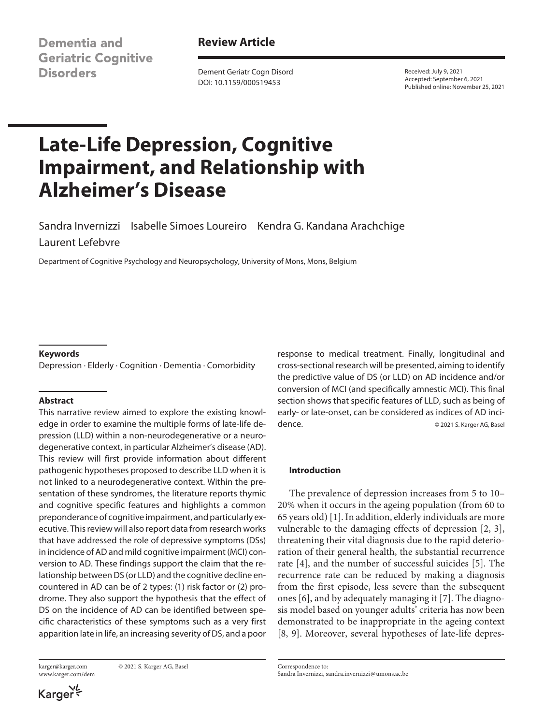Dementia and **Geriatric Cognitive Disorders** 

**Review Article**

Dement Geriatr Cogn Disord DOI: 10.1159/000519453

Received: July 9, 2021 Accepted: September 6, 2021 Published online: November 25, 2021

# **Late-Life Depression, Cognitive Impairment, and Relationship with Alzheimer's Disease**

Sandra Invernizzi Isabelle Simoes Loureiro Kendra G. Kandana Arachchige Laurent Lefebvre

Department of Cognitive Psychology and Neuropsychology, University of Mons, Mons, Belgium

### **Keywords**

Depression · Elderly · Cognition · Dementia · Comorbidity

### **Abstract**

This narrative review aimed to explore the existing knowledge in order to examine the multiple forms of late-life depression (LLD) within a non-neurodegenerative or a neurodegenerative context, in particular Alzheimer's disease (AD). This review will first provide information about different pathogenic hypotheses proposed to describe LLD when it is not linked to a neurodegenerative context. Within the presentation of these syndromes, the literature reports thymic and cognitive specific features and highlights a common preponderance of cognitive impairment, and particularly executive. This review will also report data from research works that have addressed the role of depressive symptoms (DSs) in incidence of AD and mild cognitive impairment (MCI) conversion to AD. These findings support the claim that the relationship between DS (or LLD) and the cognitive decline encountered in AD can be of 2 types: (1) risk factor or (2) prodrome. They also support the hypothesis that the effect of DS on the incidence of AD can be identified between specific characteristics of these symptoms such as a very first apparition late in life, an increasing severity of DS, and a poor

www.karger.com/dem

karger@karger.com © 2021 S. Karger AG, Basel

response to medical treatment. Finally, longitudinal and cross-sectional research will be presented, aiming to identify the predictive value of DS (or LLD) on AD incidence and/or conversion of MCI (and specifically amnestic MCI). This final section shows that specific features of LLD, such as being of early- or late-onset, can be considered as indices of AD incidence. **Calculate Contract Contract Contract Contract Contract Contract Contract Contract Contract Contract Contract Contract Contract Contract Contract Contract Contract Contract Contract Contract Contract Contract Contra** 

### **Introduction**

<span id="page-0-3"></span><span id="page-0-2"></span><span id="page-0-1"></span><span id="page-0-0"></span>The prevalence of depression increases from 5 to 10– 20% when it occurs in the ageing population (from 60 to 65 years old) [[1\]](#page-8-0). In addition, elderly individuals are more vulnerable to the damaging effects of depression [[2](#page-8-1), [3](#page-8-2)], threatening their vital diagnosis due to the rapid deterioration of their general health, the substantial recurrence rate [\[4](#page-8-3)], and the number of successful suicides [\[5\]](#page-8-4). The recurrence rate can be reduced by making a diagnosis from the first episode, less severe than the subsequent ones [\[6\]](#page-8-5), and by adequately managing it [[7](#page-8-6)]. The diagnosis model based on younger adults' criteria has now been demonstrated to be inappropriate in the ageing context [[8](#page-8-7), [9](#page-8-8)]. Moreover, several hypotheses of late-life depres-

<span id="page-0-6"></span><span id="page-0-5"></span><span id="page-0-4"></span>Correspondence to: Sandra Invernizzi, sandra.invernizzi@umons.ac.be

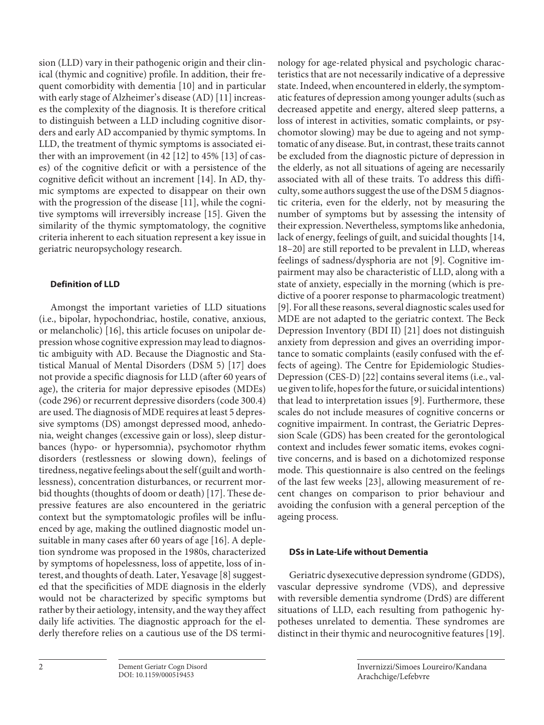<span id="page-1-2"></span><span id="page-1-1"></span><span id="page-1-0"></span>sion (LLD) vary in their pathogenic origin and their clinical (thymic and cognitive) profile. In addition, their frequent comorbidity with dementia [\[10](#page-8-0)] and in particular with early stage of Alzheimer's disease (AD) [[11](#page-8-0)] increases the complexity of the diagnosis. It is therefore critical to distinguish between a LLD including cognitive disorders and early AD accompanied by thymic symptoms. In LLD, the treatment of thymic symptoms is associated either with an improvement (in 42 [[1](#page-8-0)[2](#page-8-1)] to 45% [[1](#page-8-0)[3](#page-8-2)] of cases) of the cognitive deficit or with a persistence of the cognitive deficit without an increment [[1](#page-8-0)[4](#page-8-3)]. In AD, thymic symptoms are expected to disappear on their own with the progression of the disease [[11](#page-8-0)], while the cognitive symptoms will irreversibly increase [\[1](#page-8-0)[5\]](#page-8-4). Given the similarity of the thymic symptomatology, the cognitive criteria inherent to each situation represent a key issue in geriatric neuropsychology research.

# <span id="page-1-5"></span><span id="page-1-4"></span>**Definition of LLD**

<span id="page-1-7"></span><span id="page-1-6"></span>Amongst the important varieties of LLD situations (i.e., bipolar, hypochondriac, hostile, conative, anxious, or melancholic) [[1](#page-8-0)[6\]](#page-8-5), this article focuses on unipolar depression whose cognitive expression may lead to diagnostic ambiguity with AD. Because the Diagnostic and Statistical Manual of Mental Disorders (DSM 5) [\[1](#page-8-0)[7\]](#page-8-6) does not provide a specific diagnosis for LLD (after 60 years of age), the criteria for major depressive episodes (MDEs) (code 296) or recurrent depressive disorders (code 300.4) are used. The diagnosis of MDE requires at least 5 depressive symptoms (DS) amongst depressed mood, anhedonia, weight changes (excessive gain or loss), sleep disturbances (hypo- or hypersomnia), psychomotor rhythm disorders (restlessness or slowing down), feelings of tiredness, negative feelings about the self (guilt and worthlessness), concentration disturbances, or recurrent morbid thoughts (thoughts of doom or death) [[1](#page-8-0)[7](#page-8-6)]. These depressive features are also encountered in the geriatric context but the symptomatologic profiles will be influenced by age, making the outlined diagnostic model unsuitable in many cases after 60 years of age [\[1](#page-8-0)[6](#page-8-5)]. A depletion syndrome was proposed in the 1980s, characterized by symptoms of hopelessness, loss of appetite, loss of interest, and thoughts of death. Later, Yesavage [\[8](#page-8-7)] suggested that the specificities of MDE diagnosis in the elderly would not be characterized by specific symptoms but rather by their aetiology, intensity, and the way they affect daily life activities. The diagnostic approach for the elderly therefore relies on a cautious use of the DS termi<span id="page-1-8"></span><span id="page-1-3"></span>nology for age-related physical and psychologic characteristics that are not necessarily indicative of a depressive state. Indeed, when encountered in elderly, the symptomatic features of depression among younger adults (such as decreased appetite and energy, altered sleep patterns, a loss of interest in activities, somatic complaints, or psychomotor slowing) may be due to ageing and not symptomatic of any disease. But, in contrast, these traits cannot be excluded from the diagnostic picture of depression in the elderly, as not all situations of ageing are necessarily associated with all of these traits. To address this difficulty, some authors suggest the use of the DSM 5 diagnostic criteria, even for the elderly, not by measuring the number of symptoms but by assessing the intensity of their expression. Nevertheless, symptoms like anhedonia, lack of energy, feelings of guilt, and suicidal thoughts [[1](#page-8-0)[4](#page-8-3), [1](#page-8-0)[8–](#page-8-7)[20](#page-8-1)] are still reported to be prevalent in LLD, whereas feelings of sadness/dysphoria are not [[9](#page-8-8)]. Cognitive impairment may also be characteristic of LLD, along with a state of anxiety, especially in the morning (which is predictive of a poorer response to pharmacologic treatment) [[9](#page-8-8)]. For all these reasons, several diagnostic scales used for MDE are not adapted to the geriatric context. The Beck Depression Inventory (BDI II) [[2](#page-8-1)[1\]](#page-8-0) does not distinguish anxiety from depression and gives an overriding importance to somatic complaints (easily confused with the effects of ageing). The Centre for Epidemiologic Studies-Depression (CES-D) [\[22\]](#page-8-1) contains several items (i.e., value given to life, hopes for the future, or suicidal intentions) that lead to interpretation issues [\[9\]](#page-8-8). Furthermore, these scales do not include measures of cognitive concerns or cognitive impairment. In contrast, the Geriatric Depression Scale (GDS) has been created for the gerontological context and includes fewer somatic items, evokes cognitive concerns, and is based on a dichotomized response mode. This questionnaire is also centred on the feelings of the last few weeks [[2](#page-8-1)[3](#page-8-2)], allowing measurement of recent changes on comparison to prior behaviour and avoiding the confusion with a general perception of the ageing process.

# <span id="page-1-11"></span><span id="page-1-10"></span><span id="page-1-9"></span>**DSs in Late-Life without Dementia**

Geriatric dysexecutive depression syndrome (GDDS), vascular depressive syndrome (VDS), and depressive with reversible dementia syndrome (DrdS) are different situations of LLD, each resulting from pathogenic hypotheses unrelated to dementia. These syndromes are distinct in their thymic and neurocognitive features [[1](#page-8-0)[9](#page-8-8)].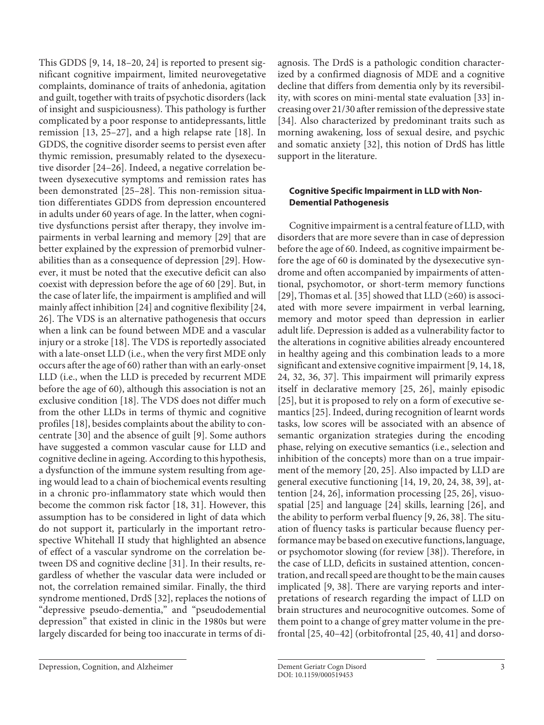<span id="page-2-3"></span><span id="page-2-2"></span><span id="page-2-1"></span><span id="page-2-0"></span>This GDDS [\[9](#page-8-8), [1](#page-8-0)[4](#page-8-3), [1](#page-8-0)[8](#page-8-7)–[2](#page-8-1)0, [2](#page-8-1)[4](#page-8-3)] is reported to present significant cognitive impairment, limited neurovegetative complaints, dominance of traits of anhedonia, agitation and guilt, together with traits of psychotic disorders (lack of insight and suspiciousness). This pathology is further complicated by a poor response to antidepressants, little remission [[1](#page-8-0)[3,](#page-8-2) [2](#page-8-1)[5–](#page-8-4)[2](#page-8-1)[7\]](#page-8-6), and a high relapse rate [[1](#page-8-0)[8](#page-8-7)]. In GDDS, the cognitive disorder seems to persist even after thymic remission, presumably related to the dysexecutive disorder [\[2](#page-8-1)[4](#page-8-3)–[2](#page-8-1)[6](#page-8-5)]. Indeed, a negative correlation between dysexecutive symptoms and remission rates has been demonstrated [[2](#page-8-1)[5](#page-8-4)–[2](#page-8-1)[8\]](#page-8-7). This non-remission situation differentiates GDDS from depression encountered in adults under 60 years of age. In the latter, when cognitive dysfunctions persist after therapy, they involve impairments in verbal learning and memory [[2](#page-8-1)[9\]](#page-8-8) that are better explained by the expression of premorbid vulnerabilities than as a consequence of depression [\[2](#page-8-1)[9\]](#page-8-8). However, it must be noted that the executive deficit can also coexist with depression before the age of 60 [[2](#page-8-1)[9](#page-8-8)]. But, in the case of later life, the impairment is amplified and will mainly affect inhibition [\[2](#page-8-1)[4\]](#page-8-3) and cognitive flexibility [\[2](#page-8-1)[4,](#page-8-3) [2](#page-8-1)[6](#page-8-5)]. The VDS is an alternative pathogenesis that occurs when a link can be found between MDE and a vascular injury or a stroke [[1](#page-8-0)[8\]](#page-8-7). The VDS is reportedly associated with a late-onset LLD (i.e., when the very first MDE only occurs after the age of 60) rather than with an early-onset LLD (i.e., when the LLD is preceded by recurrent MDE before the age of 60), although this association is not an exclusive condition [\[1](#page-8-0)[8\]](#page-8-7). The VDS does not differ much from the other LLDs in terms of thymic and cognitive profiles [[1](#page-8-0)[8\]](#page-8-7), besides complaints about the ability to concentrate [\[3](#page-8-2)0] and the absence of guilt [\[9\]](#page-8-8). Some authors have suggested a common vascular cause for LLD and cognitive decline in ageing. According to this hypothesis, a dysfunction of the immune system resulting from ageing would lead to a chain of biochemical events resulting in a chronic pro-inflammatory state which would then become the common risk factor [[1](#page-8-0)[8](#page-8-7), [3](#page-8-2)[1\]](#page-8-0). However, this assumption has to be considered in light of data which do not support it, particularly in the important retrospective Whitehall II study that highlighted an absence of effect of a vascular syndrome on the correlation between DS and cognitive decline [[3](#page-8-2)[1](#page-8-0)]. In their results, regardless of whether the vascular data were included or not, the correlation remained similar. Finally, the third syndrome mentioned, DrdS [\[3](#page-8-2)[2](#page-8-1)], replaces the notions of "depressive pseudo-dementia," and "pseudodemential depression" that existed in clinic in the 1980s but were largely discarded for being too inaccurate in terms of di<span id="page-2-8"></span><span id="page-2-7"></span>agnosis. The DrdS is a pathologic condition characterized by a confirmed diagnosis of MDE and a cognitive decline that differs from dementia only by its reversibility, with scores on mini-mental state evaluation [[33](#page-8-2)] increasing over 21/30 after remission of the depressive state [[3](#page-8-2)[4\]](#page-8-3). Also characterized by predominant traits such as morning awakening, loss of sexual desire, and psychic and somatic anxiety [[3](#page-8-2)[2\]](#page-8-1), this notion of DrdS has little support in the literature.

# **Cognitive Specific Impairment in LLD with Non-Demential Pathogenesis**

<span id="page-2-11"></span><span id="page-2-10"></span><span id="page-2-9"></span>Cognitive impairment is a central feature of LLD, with disorders that are more severe than in case of depression before the age of 60. Indeed, as cognitive impairment before the age of 60 is dominated by the dysexecutive syndrome and often accompanied by impairments of attentional, psychomotor, or short-term memory functions [[2](#page-8-1)[9\]](#page-8-8), Thomas et al. [[3](#page-8-2)[5\]](#page-8-4) showed that LLD  $(\geq 60)$  is associated with more severe impairment in verbal learning, memory and motor speed than depression in earlier adult life. Depression is added as a vulnerability factor to the alterations in cognitive abilities already encountered in healthy ageing and this combination leads to a more significant and extensive cognitive impairment [\[9](#page-8-8), [1](#page-8-0)[4](#page-8-3), [1](#page-8-0)[8](#page-8-7), [2](#page-8-1)[4,](#page-8-3) [3](#page-8-2)[2](#page-8-1), [3](#page-8-2)[6](#page-8-5), [3](#page-8-2)[7\]](#page-8-6). This impairment will primarily express itself in declarative memory [[2](#page-8-1)[5](#page-8-4), [2](#page-8-1)[6\]](#page-8-5), mainly episodic [[2](#page-8-1)[5\]](#page-8-4), but it is proposed to rely on a form of executive semantics [\[2](#page-8-1)[5\]](#page-8-4). Indeed, during recognition of learnt words tasks, low scores will be associated with an absence of semantic organization strategies during the encoding phase, relying on executive semantics (i.e., selection and inhibition of the concepts) more than on a true impairment of the memory [[2](#page-8-1)0, [2](#page-8-1)[5\]](#page-8-4). Also impacted by LLD are general executive functioning [[1](#page-8-0)[4,](#page-8-3) [1](#page-8-0)[9](#page-8-8), [20](#page-8-1), [2](#page-8-1)[4](#page-8-3), [3](#page-8-2)[8,](#page-8-7) [3](#page-8-2)[9\]](#page-8-8), attention [[2](#page-8-1)[4,](#page-8-3) [2](#page-8-1)[6](#page-8-5)], information processing [\[2](#page-8-1)[5](#page-8-4), [2](#page-8-1)[6\]](#page-8-5), visuospatial [\[2](#page-8-1)[5\]](#page-8-4) and language [\[2](#page-8-1)[4\]](#page-8-3) skills, learning [\[2](#page-8-1)[6](#page-8-5)], and the ability to perform verbal fluency [\[9,](#page-8-8) [2](#page-8-1)[6,](#page-8-5) [3](#page-8-2)[8](#page-8-7)]. The situation of fluency tasks is particular because fluency performance may be based on executive functions, language, or psychomotor slowing (for review [[3](#page-8-2)[8](#page-8-7)]). Therefore, in the case of LLD, deficits in sustained attention, concentration, and recall speed are thought to be the main causes implicated [\[9,](#page-8-8) [3](#page-8-2)[8\]](#page-8-7). There are varying reports and interpretations of research regarding the impact of LLD on brain structures and neurocognitive outcomes. Some of them point to a change of grey matter volume in the prefrontal [\[2](#page-8-1)[5](#page-8-4), [4](#page-8-3)0[–4](#page-8-3)[2\]](#page-8-1) (orbitofrontal [[2](#page-8-1)[5](#page-8-4), [4](#page-8-3)0, [4](#page-8-3)[1](#page-8-0)] and dorso-

<span id="page-2-12"></span><span id="page-2-6"></span><span id="page-2-5"></span><span id="page-2-4"></span>Depression, Cognition, and Alzheimer Dement Geriatr Cogn Disord 3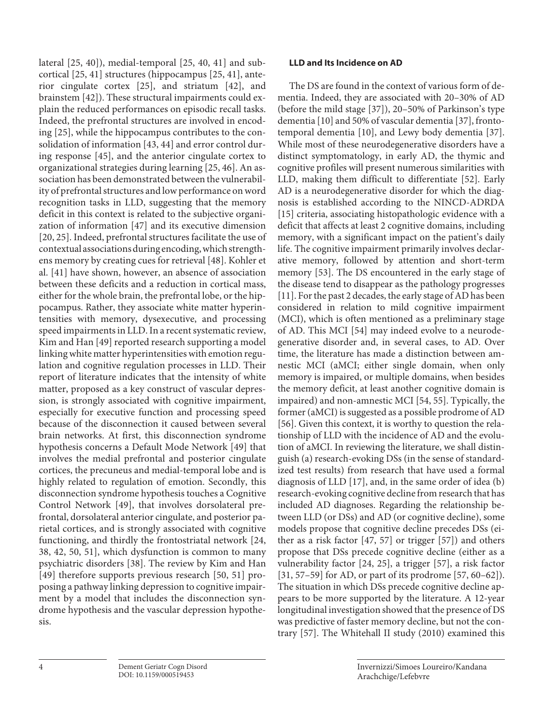<span id="page-3-6"></span><span id="page-3-5"></span><span id="page-3-4"></span><span id="page-3-3"></span><span id="page-3-2"></span><span id="page-3-1"></span><span id="page-3-0"></span>lateral [\[2](#page-8-1)[5](#page-8-4), [4](#page-8-3)0]), medial-temporal [\[2](#page-8-1)[5,](#page-8-4) [4](#page-8-3)0, [4](#page-8-3)[1](#page-8-0)] and subcortical [\[2](#page-8-1)[5,](#page-8-4) [4](#page-8-3)[1\]](#page-8-0) structures (hippocampus [[2](#page-8-1)[5,](#page-8-4) [4](#page-8-3)[1](#page-8-0)], anterior cingulate cortex [\[2](#page-8-1)[5\]](#page-8-4), and striatum [\[4](#page-8-3)[2\]](#page-8-1), and brainstem [[4](#page-8-3)[2](#page-8-1)]). These structural impairments could explain the reduced performances on episodic recall tasks. Indeed, the prefrontal structures are involved in encoding [\[2](#page-8-1)[5\]](#page-8-4), while the hippocampus contributes to the consolidation of information [[4](#page-8-3)[3](#page-8-2), [44\]](#page-8-3) and error control during response [\[4](#page-8-3)[5](#page-8-4)], and the anterior cingulate cortex to organizational strategies during learning [[2](#page-8-1)[5,](#page-8-4) [4](#page-8-3)[6\]](#page-8-5). An association has been demonstrated between the vulnerability of prefrontal structures and low performance on word recognition tasks in LLD, suggesting that the memory deficit in this context is related to the subjective organization of information [\[4](#page-8-3)[7\]](#page-8-6) and its executive dimension [\[20](#page-8-1), [2](#page-8-1)[5](#page-8-4)]. Indeed, prefrontal structures facilitate the use of contextual associations during encoding, which strengthens memory by creating cues for retrieval [[4](#page-8-3)[8\]](#page-8-7). Kohler et al. [\[4](#page-8-3)[1](#page-8-0)] have shown, however, an absence of association between these deficits and a reduction in cortical mass, either for the whole brain, the prefrontal lobe, or the hippocampus. Rather, they associate white matter hyperintensities with memory, dysexecutive, and processing speed impairments in LLD. In a recent systematic review, Kim and Han [\[4](#page-8-3)[9](#page-8-8)] reported research supporting a model linking white matter hyperintensities with emotion regulation and cognitive regulation processes in LLD. Their report of literature indicates that the intensity of white matter, proposed as a key construct of vascular depression, is strongly associated with cognitive impairment, especially for executive function and processing speed because of the disconnection it caused between several brain networks. At first, this disconnection syndrome hypothesis concerns a Default Mode Network [\[4](#page-8-3)[9\]](#page-8-8) that involves the medial prefrontal and posterior cingulate cortices, the precuneus and medial-temporal lobe and is highly related to regulation of emotion. Secondly, this disconnection syndrome hypothesis touches a Cognitive Control Network [[4](#page-8-3)[9\]](#page-8-8), that involves dorsolateral prefrontal, dorsolateral anterior cingulate, and posterior parietal cortices, and is strongly associated with cognitive functioning, and thirdly the frontostriatal network [\[2](#page-8-1)[4,](#page-8-3) [3](#page-8-2)[8](#page-8-7), [4](#page-8-3)[2,](#page-8-1) [50](#page-8-4), [5](#page-8-4)[1\]](#page-8-0), which dysfunction is common to many psychiatric disorders [[3](#page-8-2)[8](#page-8-7)]. The review by Kim and Han [\[4](#page-8-3)[9](#page-8-8)] therefore supports previous research [\[5](#page-8-4)0, [5](#page-8-4)[1](#page-8-0)] proposing a pathway linking depression to cognitive impairment by a model that includes the disconnection syndrome hypothesis and the vascular depression hypothesis.

# **LLD and Its Incidence on AD**

<span id="page-3-14"></span><span id="page-3-13"></span><span id="page-3-12"></span><span id="page-3-11"></span><span id="page-3-10"></span><span id="page-3-9"></span><span id="page-3-8"></span><span id="page-3-7"></span>The DS are found in the context of various form of dementia. Indeed, they are associated with 20–30% of AD (before the mild stage [[3](#page-8-2)[7](#page-8-6)]), 20–50% of Parkinson's type dementia [[1](#page-8-0)0] and 50% of vascular dementia [\[3](#page-8-2)[7\]](#page-8-6), frontotemporal dementia [[1](#page-8-0)0], and Lewy body dementia [[3](#page-8-2)[7](#page-8-6)]. While most of these neurodegenerative disorders have a distinct symptomatology, in early AD, the thymic and cognitive profiles will present numerous similarities with LLD, making them difficult to differentiate [[5](#page-8-4)[2](#page-8-1)]. Early AD is a neurodegenerative disorder for which the diagnosis is established according to the NINCD-ADRDA [[1](#page-8-0)[5](#page-8-4)] criteria, associating histopathologic evidence with a deficit that affects at least 2 cognitive domains, including memory, with a significant impact on the patient's daily life. The cognitive impairment primarily involves declarative memory, followed by attention and short-term memory [[5](#page-8-4)[3](#page-8-2)]. The DS encountered in the early stage of the disease tend to disappear as the pathology progresses [[11](#page-8-0)]. For the past 2 decades, the early stage of AD has been considered in relation to mild cognitive impairment (MCI), which is often mentioned as a preliminary stage of AD. This MCI [\[5](#page-8-4)[4\]](#page-8-3) may indeed evolve to a neurodegenerative disorder and, in several cases, to AD. Over time, the literature has made a distinction between amnestic MCI (aMCI; either single domain, when only memory is impaired, or multiple domains, when besides the memory deficit, at least another cognitive domain is impaired) and non-amnestic MCI [\[5](#page-8-4)[4,](#page-8-3) [55\]](#page-8-4). Typically, the former (aMCI) is suggested as a possible prodrome of AD [[5](#page-8-4)[6](#page-8-5)]. Given this context, it is worthy to question the relationship of LLD with the incidence of AD and the evolution of aMCI. In reviewing the literature, we shall distinguish (a) research-evoking DSs (in the sense of standardized test results) from research that have used a formal diagnosis of LLD [[1](#page-8-0)[7](#page-8-6)], and, in the same order of idea (b) research-evoking cognitive decline from research that has included AD diagnoses. Regarding the relationship between LLD (or DSs) and AD (or cognitive decline), some models propose that cognitive decline precedes DSs (either as a risk factor [\[4](#page-8-3)[7,](#page-8-6) [5](#page-8-4)[7](#page-8-6)] or trigger [\[5](#page-8-4)[7\]](#page-8-6)) and others propose that DSs precede cognitive decline (either as a vulnerability factor [[2](#page-8-1)[4](#page-8-3), [2](#page-8-1)[5\]](#page-8-4), a trigger [\[5](#page-8-4)[7\]](#page-8-6), a risk factor [[3](#page-8-2)[1](#page-8-0), [5](#page-8-4)[7–](#page-8-6)[5](#page-8-4)[9](#page-8-8)] for AD, or part of its prodrome [\[5](#page-8-4)[7,](#page-8-6) [6](#page-8-5)0[–6](#page-8-5)[2\]](#page-8-1)). The situation in which DSs precede cognitive decline appears to be more supported by the literature. A 12-year longitudinal investigation showed that the presence of DS was predictive of faster memory decline, but not the contrary [\[5](#page-8-4)[7\]](#page-8-6). The Whitehall II study (2010) examined this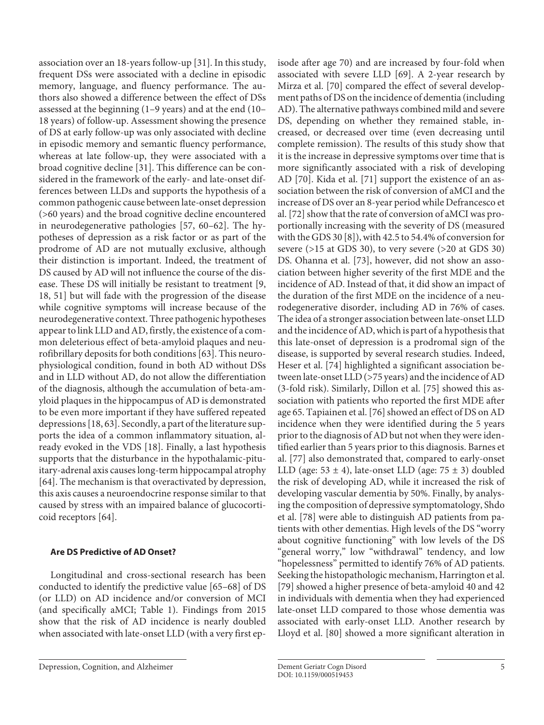association over an 18-years follow-up [[3](#page-8-2)[1](#page-8-0)]. In this study, frequent DSs were associated with a decline in episodic memory, language, and fluency performance. The authors also showed a difference between the effect of DSs assessed at the beginning (1–9 years) and at the end (10– 18 years) of follow-up. Assessment showing the presence of DS at early follow-up was only associated with decline in episodic memory and semantic fluency performance, whereas at late follow-up, they were associated with a broad cognitive decline [[3](#page-8-2)[1](#page-8-0)]. This difference can be considered in the framework of the early- and late-onset differences between LLDs and supports the hypothesis of a common pathogenic cause between late-onset depression (>60 years) and the broad cognitive decline encountered in neurodegenerative pathologies [\[5](#page-8-4)[7](#page-8-6), [60](#page-8-5)–[6](#page-8-5)[2\]](#page-8-1). The hypotheses of depression as a risk factor or as part of the prodrome of AD are not mutually exclusive, although their distinction is important. Indeed, the treatment of DS caused by AD will not influence the course of the disease. These DS will initially be resistant to treatment [\[9,](#page-8-8) [1](#page-8-0)[8](#page-8-7), [5](#page-8-4)[1](#page-8-0)] but will fade with the progression of the disease while cognitive symptoms will increase because of the neurodegenerative context. Three pathogenic hypotheses appear to link LLD and AD, firstly, the existence of a common deleterious effect of beta-amyloid plaques and neurofibrillary deposits for both conditions [[6](#page-8-5)[3](#page-8-2)]. This neurophysiological condition, found in both AD without DSs and in LLD without AD, do not allow the differentiation of the diagnosis, although the accumulation of beta-amyloid plaques in the hippocampus of AD is demonstrated to be even more important if they have suffered repeated depressions [[1](#page-8-0)[8](#page-8-7), [6](#page-8-5)[3](#page-8-2)]. Secondly, a part of the literature supports the idea of a common inflammatory situation, already evoked in the VDS [[1](#page-8-0)[8](#page-8-7)]. Finally, a last hypothesis supports that the disturbance in the hypothalamic-pituitary-adrenal axis causes long-term hippocampal atrophy [\[6](#page-8-5)[4\]](#page-8-3). The mechanism is that overactivated by depression, this axis causes a neuroendocrine response similar to that caused by stress with an impaired balance of glucocorticoid receptors [\[6](#page-8-5)[4\]](#page-8-3).

# <span id="page-4-1"></span><span id="page-4-0"></span>**Are DS Predictive of AD Onset?**

<span id="page-4-2"></span>Longitudinal and cross-sectional research has been conducted to identify the predictive value [\[6](#page-8-5)[5–](#page-8-4)[6](#page-8-5)[8\]](#page-8-7) of DS (or LLD) on AD incidence and/or conversion of MCI (and specifically aMCI; Table 1). Findings from 2015 show that the risk of AD incidence is nearly doubled when associated with late-onset LLD (with a very first ep<span id="page-4-7"></span><span id="page-4-6"></span><span id="page-4-5"></span><span id="page-4-4"></span><span id="page-4-3"></span>isode after age 70) and are increased by four-fold when associated with severe LLD [\[6](#page-8-5)[9\]](#page-8-8). A 2-year research by Mirza et al. [\[7](#page-8-6)0] compared the effect of several development paths of DS on the incidence of dementia (including AD). The alternative pathways combined mild and severe DS, depending on whether they remained stable, increased, or decreased over time (even decreasing until complete remission). The results of this study show that it is the increase in depressive symptoms over time that is more significantly associated with a risk of developing AD [[70](#page-8-6)]. Kida et al. [[7](#page-8-6)[1](#page-8-0)] support the existence of an association between the risk of conversion of aMCI and the increase of DS over an 8-year period while Defrancesco et al. [[7](#page-8-6)[2](#page-8-1)] show that the rate of conversion of aMCI was proportionally increasing with the severity of DS (measured with the GDS 30 [\[8\]](#page-8-7)), with 42.5 to 54.4% of conversion for severe (>15 at GDS 30), to very severe (>20 at GDS 30) DS. Ohanna et al. [[7](#page-8-6)[3](#page-8-2)], however, did not show an association between higher severity of the first MDE and the incidence of AD. Instead of that, it did show an impact of the duration of the first MDE on the incidence of a neurodegenerative disorder, including AD in 76% of cases. The idea of a stronger association between late-onset LLD and the incidence of AD, which is part of a hypothesis that this late-onset of depression is a prodromal sign of the disease, is supported by several research studies. Indeed, Heser et al. [\[7](#page-8-6)[4\]](#page-8-3) highlighted a significant association between late-onset LLD (>75 years) and the incidence of AD (3-fold risk). Similarly, Dillon et al. [\[7](#page-8-6)[5\]](#page-8-4) showed this association with patients who reported the first MDE after age 65. Tapiainen et al. [[7](#page-8-6)[6](#page-8-5)] showed an effect of DS on AD incidence when they were identified during the 5 years prior to the diagnosis of AD but not when they were identified earlier than 5 years prior to this diagnosis. Barnes et al. [[77](#page-8-6)] also demonstrated that, compared to early-onset LLD (age:  $53 \pm 4$ ), late-onset LLD (age:  $75 \pm 3$ ) doubled the risk of developing AD, while it increased the risk of developing vascular dementia by 50%. Finally, by analysing the composition of depressive symptomatology, Shdo et al. [[7](#page-8-6)[8](#page-8-7)] were able to distinguish AD patients from patients with other dementias. High levels of the DS "worry about cognitive functioning" with low levels of the DS "general worry," low "withdrawal" tendency, and low "hopelessness" permitted to identify 76% of AD patients. Seeking the histopathologic mechanism, Harrington et al. [[7](#page-8-6)[9](#page-8-8)] showed a higher presence of beta-amyloid 40 and 42 in individuals with dementia when they had experienced late-onset LLD compared to those whose dementia was associated with early-onset LLD. Another research by Lloyd et al. [\[80](#page-8-7)] showed a more significant alteration in

Depression, Cognition, and Alzheimer **Dement Geriatr Cognition** Dement Geriatr Cogn Disord 5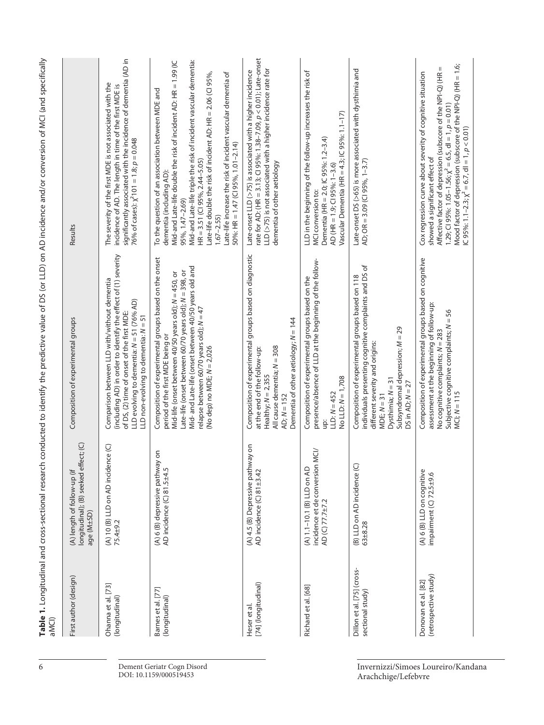| aMCI)                                          | Table 1. Longitudinal and cross-sectional research                                       |                                                                                                                                                                                                                                                                                                                                                         | conducted to identify the predictive value of DS (or LLD) on AD incidence and/or conversion of MCI (and specifically                                                                                                                                                                                                                                                                                                                                                    |
|------------------------------------------------|------------------------------------------------------------------------------------------|---------------------------------------------------------------------------------------------------------------------------------------------------------------------------------------------------------------------------------------------------------------------------------------------------------------------------------------------------------|-------------------------------------------------------------------------------------------------------------------------------------------------------------------------------------------------------------------------------------------------------------------------------------------------------------------------------------------------------------------------------------------------------------------------------------------------------------------------|
| First author (design)                          | $ct;$ (C)<br>longitudinal); (B) seeked effe<br>(A) length of follow-up (if<br>age (M±SD) | Composition of experimental groups                                                                                                                                                                                                                                                                                                                      | Results                                                                                                                                                                                                                                                                                                                                                                                                                                                                 |
| Ohanna et al. [73]<br>(longitudinal)           | (A) 10 (B) LLD on AD incidence (C)<br>75.4±9.2                                           | (including AD) in order to identify the effect of (1) severity<br>Comparison between LLD with/without dementia<br>LLD evolving to dementia: $N = 51$ (76% AD)<br>of DS, (2) time of onset of the first MDE:<br>LLD non-evolving to dementia: $N = 51$                                                                                                   | significantly associated with the incidence of dementia (AD in<br>The severity of the first MDE is not associated with the<br>incidence of AD. The length in time of the first MDE is<br>76% of cases): $\chi^2$ 101 = 1.8; $p = 0.048$                                                                                                                                                                                                                                 |
| Barnes et al. [77]<br>(longitudinal)           | δ<br>(A) 6 (B) depressive pathway<br>AD incidence (C) 81.5±4.5                           | Composition of experimental groups based on the onset<br>Mid- and Late-life (onset between 40/50 years old and<br>Late-life (onset between 60/70 years old); $N = 398$ , or<br>Mid-life (onset between 40/50 years old); $N = 450$ , or<br>relapse between 60/70 years old); N = 47<br>period of the first MDE being or<br>(No dep) no MDE; $N = 2,026$ | Mid-and Late-life triple the risk of incident vascular dementia:<br>Mid-and Late-life double the risk of incident AD: HR = 1.99 (IC<br>Late-life increase the risk of incident vascular dementia of<br>Late-life double the risk of incident AD: HR = $2.06$ (CI 95%,<br>To the question of an association between MDE and<br>$50\%$ : HR = 1.47 (CI 95%, 1.01-2.14)<br>$HR = 3.51$ (CI 95%, 2.44-5.05)<br>dementia (including AD):<br>95%, 1.47-2.69)<br>$1.67 - 2.55$ |
| [74] (longitudinal)<br>Heser et al             | (A) 4.5 (B) Depressive pathway on<br>AD incidence (C) 81±3.42                            | Composition of experimental groups based on diagnostic<br>Dementia of other aetiology; $N = 144$<br>All cause dementia; N = 308<br>at the end of the follow-up:<br>Healthy; $N = 2,355$<br>$AD; N = 152$                                                                                                                                                | rate for AD: (HR = 3.13; CI 95%: 1.38-7.09, $p < 0.01$ ); Late-onset<br>LLD (>75) is not associated with a higher incidence rate for<br>Late-onset LLD (>75) is associated with a higher incidence<br>dementia of other aetiology                                                                                                                                                                                                                                       |
| Richard et al. [68]                            | incidence et de conversion MCI/<br>(A) 1.1-10.1 (B) LLD on AD<br>AD (C) 77.7±7.2         | presence/absence of LLD at the beginning of the follow-<br>Composition of experimental groups based on the<br>No LLD: $N = 1,708$<br>LLD: $N = 452$<br>ğ                                                                                                                                                                                                | LLD in the beginning of the follow-up increases the risk of<br>Vascular Dementia (HR = 4.3; IC 95%: 1.1-17)<br>Dementia (HR = 2.0; IC 95%: 1.2-3.4)<br>AD (HR = 1.9; CI 95%: 1-3.6)<br>MCI conversion to:                                                                                                                                                                                                                                                               |
| Dillon et al. [75] (cross-<br>sectional study) | (B) LLD on AD incidence (C)<br>$63 + 8.28$                                               | individuals presenting cognitive complaints and DS of<br>Composition of experimental groups based on 118<br>Subsyndromal depression; $M = 29$<br>different severity and origins:<br>Dysthimia; $N = 31$<br>DS in AD; $N = 27$<br>$MDE; N = 31$                                                                                                          | Late-onset DS (>65) is more associated with dysthimia and<br>AD; OR = 3.09 (CI 95%, 1-3.7)                                                                                                                                                                                                                                                                                                                                                                              |
| (retrospective study)<br>Donovan et al. [82]   | (A) 6 (B) LLD on cognitive<br>impairment (C) 72.5±9.6                                    | Composition of experimental groups based on cognitive<br>assessment at the beginning of follow-up:<br>Subjective cognitive complaints; $N = 56$<br>No cognitive complaints; $N = 283$<br>$MCI; N = 115$                                                                                                                                                 | Mood factor of depression (subscore of the NPI-Q) (HR = 1.6;<br>$\, \rm II$<br>Cox regression curve about severity of cognitive situation<br>Affective factor of depression (subscore of the NPI-Q) (HR<br>1.29; CI 95%: 1.05-1.56; $\chi^2$ = 6.5, dI = 1, $p = 0.01$ ]<br>IC 95%: 1.1-2.3; $\chi^2$ = 6.7, dl = 1, $p < 0.01$ )<br>showed a significant effect of                                                                                                     |
|                                                |                                                                                          |                                                                                                                                                                                                                                                                                                                                                         |                                                                                                                                                                                                                                                                                                                                                                                                                                                                         |

6 Dement Geriatr Cogn Disord DOI: 10.1159/000519453

Invernizzi/Simoes Loureiro/Kandana Arachchige/Lefebvre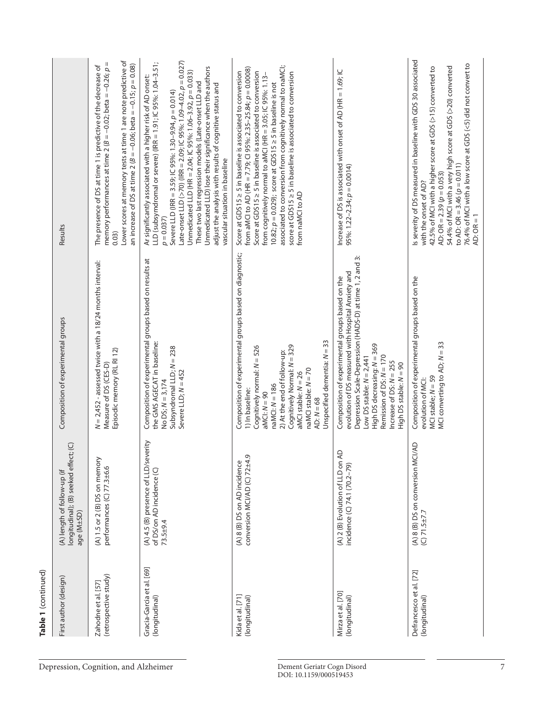| Table 1 (continued)                          |                                                                                    |                                                                                                                                                                                                                                                                                                                                 |                                                                                                                                                                                                                                                                                                                                                                                                                                                                                                                                                              |
|----------------------------------------------|------------------------------------------------------------------------------------|---------------------------------------------------------------------------------------------------------------------------------------------------------------------------------------------------------------------------------------------------------------------------------------------------------------------------------|--------------------------------------------------------------------------------------------------------------------------------------------------------------------------------------------------------------------------------------------------------------------------------------------------------------------------------------------------------------------------------------------------------------------------------------------------------------------------------------------------------------------------------------------------------------|
| First author (design)                        | longitudinal); (B) seeked effect; (C)<br>(A) length of follow-up (if<br>age (M±SD) | Composition of experimental groups                                                                                                                                                                                                                                                                                              | Results                                                                                                                                                                                                                                                                                                                                                                                                                                                                                                                                                      |
| (retrospective study)<br>Zahodne et al. [57] | (A) 1.5 or 2 (B) DS on memory<br>performances (C) 77.3±6.6                         | $N = 2,452$ - assessed twice with a 18/24 months interval:<br>Episodic memory (RL RI 12)<br>Measure of DS (CES-D)                                                                                                                                                                                                               | Lower scores at memory tests at time 1 are note predictive of<br>memory performances at time 2 ( $B = -0.02$ ; beta = $-0.26$ ; $p =$<br>an increase of DS at time 2 ( $B = -0.06$ ; beta = $-0.15$ ; $p = 0.08$ )<br>The presence of DS at time 1 is predictive of the decrease of<br>0.03)                                                                                                                                                                                                                                                                 |
| Gracia-Garcia et al. [69]<br>(longitudinal)  | (A) 4.5 (B) presence of LLD/severity<br>of DS/on AD incidence (C)<br>$73.5 + 9.4$  | Composition of experimental groups based on results at<br>the GMS AGECAT in baseline:<br>Subsyndromal LLD; $N = 238$<br>Severe LLD; $N = 452$<br>No DS; $N = 3,174$                                                                                                                                                             | Late-onset LLD (>70) (IRR = 2.09; IC 95%: 1.09-4.02, $p = 0.027$ )<br>LLD (subsymdromal or severe) (IRR = 1.91; IC 95%: 1.04-3.51;<br>Unmedicated LLD) lose their significance when the authors<br>Unmedicated LLD (HR = 2.04; IC 95%: 1.06-3.92, $p = 0.033$ )<br>Ar significantly associated with a higher risk of AD onset:<br>These two last regression models (Late-onset LLD and<br>adjust the analysis with results of cognitive status and<br>Severe LLD (IRR = 3.59; IC 95%: 1.30-9.94, p = 0.014)<br>vascular situation in baseline<br>$p = 0.037$ |
| Kida et al. [71]<br>(longitudinal)           | conversion MCI/AD (C) 72±4.9<br>Q<br>(A) 8 (B) DS on AD incidenc                   | Composition of experimental groups based on diagnostic;<br>Unspecified dementia: $N = 33$<br>Cognitively Normal: N = 329<br>Cognitively normal: N = 526<br>2) At the end of follow-up:<br>naMCI stable: N = 70<br>aMCI stable: $N = 26$<br>$n a MCl: N = 186$<br>1) In baseline:<br>$aMCl: N = 90$<br>$AD: N = 68$              | associated to conversion from cognitively normal to naMCl;<br>from aMCl to AD (HR = 7.79; CI 95%: 2.35-25.84; p = 0.0008)<br>Score at GDS15 ≥ 5 in baseline is associated to conversion<br>Score at GDS15 ≥ 5 in baseline is associated to conversion<br>score at GDS15 ≥ 5 in baseline is associated to conversion<br>from cognitively normal to aMCI (HR = 3.05; IC 95%: 1.13-<br>$10.82$ ; $p = 0.029$ ); score at GDS15 $\geq$ 5 in baseline is not<br>from naMCI to AD                                                                                  |
| Mirza et al. [70]<br>(longitudinal)          | (A) 2 (B) Evolution of LLD on AD<br>incidence (C) 74.1 (70.2-79)                   | $\dot{\rm m}$<br>Depression Scale-Depression (HADS-D) at time 1, 2 and<br>evolution of DS measured with Hospital Anxiety and<br>Composition of experimental groups based on the<br>High DS decreasing: N = 369<br>Remission of DS: N = 170<br>Low DS stable: $N = 2,441$<br>Increase of DS: $N = 255$<br>High DS stable: N = 90 | Increase of DS is associated with onset of AD (HR = 1.69; IC<br>95%: $1.22 - 2.34$ ; $p = 0.0014$ )                                                                                                                                                                                                                                                                                                                                                                                                                                                          |
| Defrancesco et al. [72]<br>(longitudinal)    | (A) 8 (B) DS on conversion MCI/AD<br>$(C)$ 71.5±7.7                                | Composition of experimental groups based on the<br>MCI converting to AD; N = 33<br>$MCI$ stable; $N = 59$<br>evolution of MCI:                                                                                                                                                                                                  | is severity of DS measured in baseline with GDS 30 associated<br>76.4% of MCI with a low score at GDS (<5) did not convert to<br>54.4% of MCI with a very high score at GDS (>20) converted<br>42.5% of MCI with a higher score at GDS (>15) converted to<br>to AD: OR = 3.46 ( $p = 0.011$ )<br>AD: OR = $2.39(p = 0.053)$<br>with the onset of AD?<br>$AD: OR = 1$                                                                                                                                                                                         |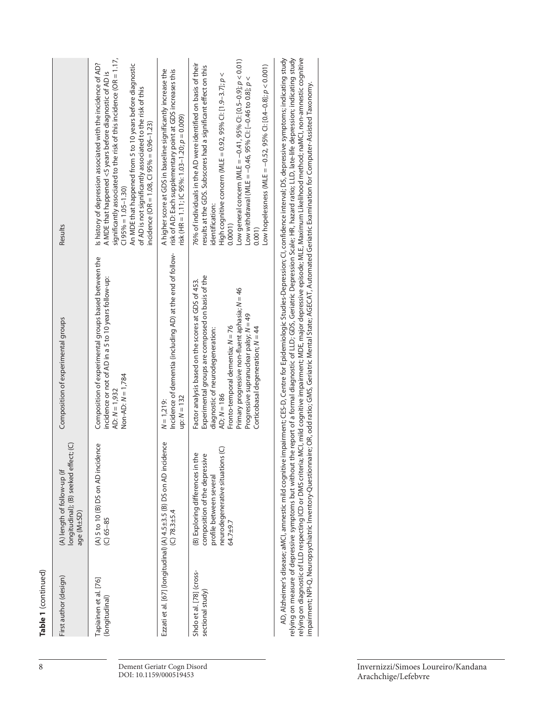| First author (design)                        | fect; (C)<br>longitudinal); (B) seeked eff<br>(A) length of follow-up (if<br>age (M±SD)                                                      | Composition of experimental groups                                                                                                                                                                                                                                                                                                     | Results                                                                                                                                                                                                                                                                                                                                                                                                                                                                                                                                                                                  |
|----------------------------------------------|----------------------------------------------------------------------------------------------------------------------------------------------|----------------------------------------------------------------------------------------------------------------------------------------------------------------------------------------------------------------------------------------------------------------------------------------------------------------------------------------|------------------------------------------------------------------------------------------------------------------------------------------------------------------------------------------------------------------------------------------------------------------------------------------------------------------------------------------------------------------------------------------------------------------------------------------------------------------------------------------------------------------------------------------------------------------------------------------|
| Tapiainen et al. [76]<br>(longitudinal)      | (A) 5 to 10 (B) DS on AD incidence<br>$(C) 65 - 85$                                                                                          | Composition of experimental groups based between the<br>incidence or not of AD in a 5 to 10 years follow-up:<br>Non-AD: $N = 1,784$<br>AD: $N = 1,932$                                                                                                                                                                                 | significantly associated to the risk of this incidence (OR = 1.17,<br>Is history of depression associated with the incidence of AD?<br>An MDE that happened from 5 to 10 years before diagnostic<br>A MDE that happened <5 years before diagnostic of AD is<br>of AD is not significantly associated to the risk of this<br>incidence (OR = 1.08, CI 95% = 0.96-1.23)<br>$C195% = 1.05 - 1.30$                                                                                                                                                                                           |
|                                              | Ezzati et al. [67] (longitudinal) (A) 4.5±3.5 (B) DS on AD incidence<br>$(C)$ 78.3±5.4                                                       | Incidence of dementia (including AD) at the end of follow-<br>$up: N = 132$<br>$N = 1,219$ :                                                                                                                                                                                                                                           | A higher score at GDS in baseline significantly increase the<br>risk of AD: Each supplementary point at GDS increases this<br>risk (HR = 1.11; IC 95%: 1.03-1.20; $p = 0.009$ )                                                                                                                                                                                                                                                                                                                                                                                                          |
| Shdo et al. [78] (cross-<br>sectional study) | neurodegenerative situations (C)<br>(B) Exploring differences in the<br>composition of the depressive<br>profile between several<br>64.7±9.7 | Experimental groups are composed on basis of the<br>Factor analysis based on the scores at GDS of 453.<br>Primary progressive non-fluent aphasia; N = 46<br>Progressive supranuclear palsy; $N = 49$<br>Fronto-temporal dementia; $N = 76$<br>Corticobasal degeneration; $N = 44$<br>diagnostic of neurodegeneration:<br>$AD; N = 186$ | Low general concern (MLE = $-0.41$ , 95% Cl: [0.5-0.9]; $p < 0.01$ )<br>76% of individuals in the AD were identified on basis of their<br>Low hopelessness (MLE = $-0.52$ , 95% Cl: [0.4 $-0.8$ ]; $p < 0.001$ )<br>results at the GDS. Subscores had a significant effect on this<br>High cognitive concern (MLE = 0.92, 95% CI: [1.9-3.7]; $p <$<br>Low withdrawal (MLE = -0.46, 95% CI: [-0.46 to 0.8]; p<br>identification:<br>0.0001<br>0.001                                                                                                                                       |
|                                              |                                                                                                                                              | impairment; NPI-Q, Neuropsychiatric Inventory-Questionnaire; OR, odd ratio; Geriatric Mental State; AGECAT, Automated Geriatric Examination for Computer-Assisted Taxonomy.                                                                                                                                                            | relying on measure of depressive symptoms but without the report of a formal diagnostic of LLD; GDS, Geriatric Depression Scale; HR, hazard ratio; LLD, late-life depression; indicating study<br>AD, Alzheimer's disease; aMCI, amnestic mild cognitive impairment; CES-D, Centre for Epidemiologic Studies-Depression; CI, confidence interval; DS, depressive symptoms; indicating study<br>relying on diagnostic of LLD respecting ICD or DMS criteria; MCI, mild cognitive impairment; MDE, major depressive episode; MLE, Maximum Likelihood method; naMCI, non-amnestic cognitive |

> Invernizzi/Simoes Loureiro/Kandana Arachchige/Lefebvre

**Table 1**

(continued)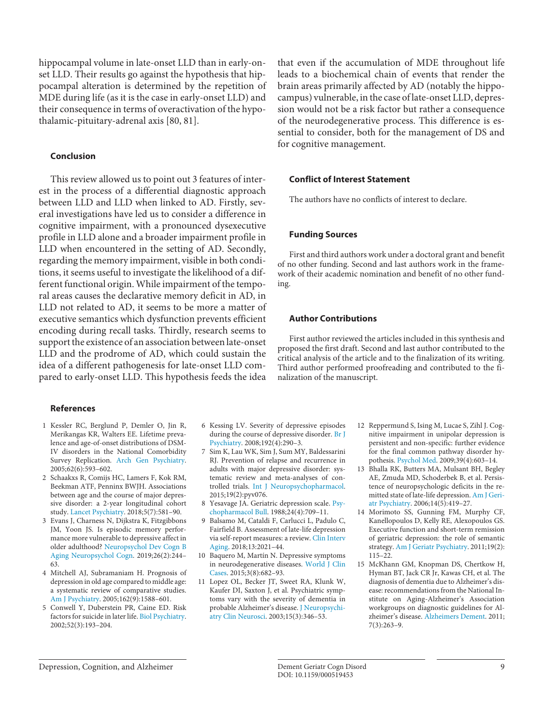hippocampal volume in late-onset LLD than in early-onset LLD. Their results go against the hypothesis that hippocampal alteration is determined by the repetition of MDE during life (as it is the case in early-onset LLD) and their consequence in terms of overactivation of the hypothalamic-pituitary-adrenal axis [[80](#page-8-7), [8](#page-8-7)[1\]](#page-8-0).

## **Conclusion**

This review allowed us to point out 3 features of interest in the process of a differential diagnostic approach between LLD and LLD when linked to AD. Firstly, several investigations have led us to consider a difference in cognitive impairment, with a pronounced dysexecutive profile in LLD alone and a broader impairment profile in LLD when encountered in the setting of AD. Secondly, regarding the memory impairment, visible in both conditions, it seems useful to investigate the likelihood of a different functional origin. While impairment of the temporal areas causes the declarative memory deficit in AD, in LLD not related to AD, it seems to be more a matter of executive semantics which dysfunction prevents efficient encoding during recall tasks. Thirdly, research seems to support the existence of an association between late-onset LLD and the prodrome of AD, which could sustain the idea of a different pathogenesis for late-onset LLD compared to early-onset LLD. This hypothesis feeds the idea

#### **References**

- <span id="page-8-0"></span>[1](#page-0-0) Kessler RC, Berglund P, Demler O, Jin R, Merikangas KR, Walters EE. Lifetime prevalence and age-of-onset distributions of DSM-IV disorders in the National Comorbidity Survey Replication. [Arch Gen Psychiatry](https://www.karger.com/Article/FullText/519453?ref=1#ref1). 2005;62(6):593–602.
- <span id="page-8-1"></span>[2](#page-0-1) Schaakxs R, Comijs HC, Lamers F, Kok RM, Beekman ATF, Penninx BWJH. Associations between age and the course of major depressive disorder: a 2-year longitudinal cohort study. [Lancet Psychiatry.](https://www.karger.com/Article/FullText/519453?ref=2#ref2) 2018;5(7):581–90.
- <span id="page-8-2"></span>[3](#page-0-1) Evans J, Charness N, Dijkstra K, Fitzgibbons JM, Yoon JS. Is episodic memory performance more vulnerable to depressive affect in older adulthood? [Neuropsychol Dev Cogn B](https://www.karger.com/Article/FullText/519453?ref=3#ref3) [Aging Neuropsychol Cogn](https://www.karger.com/Article/FullText/519453?ref=3#ref3). 2019;26(2):244– 63.
- <span id="page-8-3"></span>[4](#page-0-2) Mitchell AJ, Subramaniam H. Prognosis of depression in old age compared to middle age: a systematic review of comparative studies. [Am J Psychiatry.](https://www.karger.com/Article/FullText/519453?ref=4#ref4) 2005;162(9):1588–601.
- <span id="page-8-4"></span>[5](#page-0-3) Conwell Y, Duberstein PR, Caine ED. Risk factors for suicide in later life. [Biol Psychiatry](https://www.karger.com/Article/FullText/519453?ref=5#ref5). 2002;52(3):193–204.

<span id="page-8-5"></span>[6](#page-0-4) Kessing LV. Severity of depressive episodes during the course of depressive disorder. [Br J](https://www.karger.com/Article/FullText/519453?ref=6#ref6) [Psychiatry](https://www.karger.com/Article/FullText/519453?ref=6#ref6). 2008;192(4):290–3.

- <span id="page-8-6"></span>[7](#page-0-5) Sim K, Lau WK, Sim J, Sum MY, Baldessarini RJ. Prevention of relapse and recurrence in adults with major depressive disorder: systematic review and meta-analyses of controlled trials. [Int J Neuropsychopharmacol.](https://www.karger.com/Article/FullText/519453?ref=7#ref7) 2015;19(2):pyv076.
- <span id="page-8-7"></span>[8](#page-0-6) Yesavage JA. Geriatric depression scale. [Psy](https://www.karger.com/Article/FullText/519453?ref=8#ref8)[chopharmacol Bull.](https://www.karger.com/Article/FullText/519453?ref=8#ref8) 1988;24(4):709–11.
- <span id="page-8-8"></span>[9](#page-0-6) Balsamo M, Cataldi F, Carlucci L, Padulo C, Fairfield B. Assessment of late-life depression via self-report measures: a review. [Clin Interv](https://www.karger.com/Article/FullText/519453?ref=9#ref9) [Aging.](https://www.karger.com/Article/FullText/519453?ref=9#ref9) 2018;13:2021–44.
- [10](#page-1-0) Baquero M, Martín N. Depressive symptoms in neurodegenerative diseases. [World J Clin](https://www.karger.com/Article/FullText/519453?ref=10#ref10) [Cases](https://www.karger.com/Article/FullText/519453?ref=10#ref10). 2015;3(8):682–93.
- [11](#page-1-1) Lopez OL, Becker JT, Sweet RA, Klunk W, Kaufer DI, Saxton J, et al. Psychiatric symptoms vary with the severity of dementia in probable Alzheimer's disease. [J Neuropsychi](https://www.karger.com/Article/FullText/519453?ref=11#ref11)[atry Clin Neurosci.](https://www.karger.com/Article/FullText/519453?ref=11#ref11) 2003;15(3):346–53.

that even if the accumulation of MDE throughout life leads to a biochemical chain of events that render the brain areas primarily affected by AD (notably the hippocampus) vulnerable, in the case of late-onset LLD, depression would not be a risk factor but rather a consequence of the neurodegenerative process. This difference is essential to consider, both for the management of DS and for cognitive management.

## **Conflict of Interest Statement**

The authors have no conflicts of interest to declare.

#### **Funding Sources**

First and third authors work under a doctoral grant and benefit of no other funding. Second and last authors work in the framework of their academic nomination and benefit of no other funding.

#### **Author Contributions**

First author reviewed the articles included in this synthesis and proposed the first draft. Second and last author contributed to the critical analysis of the article and to the finalization of its writing. Third author performed proofreading and contributed to the finalization of the manuscript.

- [12](#page-1-2) Reppermund S, Ising M, Lucae S, Zihl J. Cognitive impairment in unipolar depression is persistent and non-specific: further evidence for the final common pathway disorder hypothesis. [Psychol Med.](https://www.karger.com/Article/FullText/519453?ref=12#ref12) 2009;39(4):603–14.
- [13](#page-1-3) Bhalla RK, Butters MA, Mulsant BH, Begley AE, Zmuda MD, Schoderbek B, et al. Persistence of neuropsychologic deficits in the remitted state of late-life depression. [Am J Geri](https://www.karger.com/Article/FullText/519453?ref=13#ref13)[atr Psychiatry.](https://www.karger.com/Article/FullText/519453?ref=13#ref13) 2006;14(5):419–27.
- [14](#page-1-4) Morimoto SS, Gunning FM, Murphy CF, Kanellopoulos D, Kelly RE, Alexopoulos GS. Executive function and short-term remission of geriatric depression: the role of semantic strategy. [Am J Geriatr Psychiatry.](https://www.karger.com/Article/FullText/519453?ref=14#ref14) 2011;19(2): 115–22.
- [15](#page-1-5) McKhann GM, Knopman DS, Chertkow H, Hyman BT, Jack CR Jr, Kawas CH, et al. The diagnosis of dementia due to Alzheimer's disease: recommendations from the National Institute on Aging-Alzheimer's Association workgroups on diagnostic guidelines for Alzheimer's disease. [Alzheimers Dement](https://www.karger.com/Article/FullText/519453?ref=15#ref15). 2011; 7(3):263–9.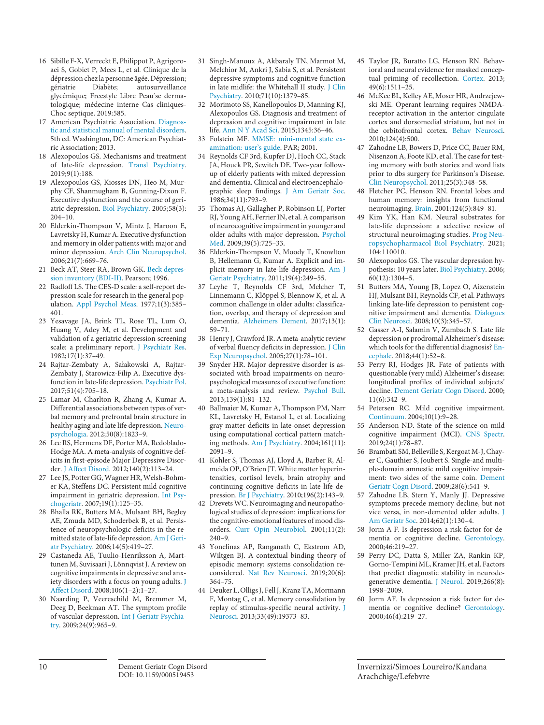- [16](#page-1-6) Sibille F-X, Verreckt E, Philippot P, Agrigoroaei S, Gobiet P, Mees L, et al. Clinique de la dépression chez la personne âgée. Dépression;<br>gériatrie Diabète; autosurveillance autosurveillance glycémique; Freestyle Libre Peau'se dermatologique; médecine interne Cas cliniques-Choc septique. 2019:585.
- [17](#page-1-7) American Psychiatric Association. [Diagnos](https://www.karger.com/Article/FullText/519453?ref=17#ref17)[tic and statistical manual of mental disorders](https://www.karger.com/Article/FullText/519453?ref=17#ref17). 5th ed. Washington, DC: American Psychiatric Association; 2013.
- [18](#page-1-8) Alexopoulos GS. Mechanisms and treatment of late-life depression. [Transl Psychiatry](https://www.karger.com/Article/FullText/519453?ref=18#ref18). 2019;9(1):188.
- [19](#page-1-8) Alexopoulos GS, Kiosses DN, Heo M, Murphy CF, Shanmugham B, Gunning-Dixon F. Executive dysfunction and the course of geriatric depression. [Biol Psychiatry](https://www.karger.com/Article/FullText/519453?ref=19#ref19). 2005;58(3): 204–10.
- [20](#page-1-8) Elderkin-Thompson V, Mintz J, Haroon E, Lavretsky H, Kumar A. Executive dysfunction and memory in older patients with major and minor depression. [Arch Clin Neuropsychol](https://www.karger.com/Article/FullText/519453?ref=20#ref20). 2006;21(7):669–76.
- [21](#page-1-9) Beck AT, Steer RA, Brown GK. [Beck depres](https://www.karger.com/Article/FullText/519453?ref=21#ref21)[sion inventory \(BDI-II\)](https://www.karger.com/Article/FullText/519453?ref=21#ref21). Pearson; 1996.
- [22](#page-1-10) Radloff LS. The CES-D scale: a self-report depression scale for research in the general population. [Appl Psychol Meas](https://www.karger.com/Article/FullText/519453?ref=22#ref22). 1977;1(3):385– 401.
- [23](#page-1-11) Yesavage JA, Brink TL, Rose TL, Lum O, Huang V, Adey M, et al. Development and validation of a geriatric depression screening scale: a preliminary report. [J Psychiatr Res](https://www.karger.com/Article/FullText/519453?ref=23#ref23). 1982;17(1):37–49.
- [24](#page-2-0) Rajtar-Zembaty A, Sałakowski A, Rajtar-Zembaty J, Starowicz-Filip A. Executive dysfunction in late-life depression. [Psychiatr Pol](https://www.karger.com/Article/FullText/519453?ref=24#ref24). 2017;51(4):705–18.
- [25](#page-2-1) Lamar M, Charlton R, Zhang A, Kumar A. Differential associations between types of verbal memory and prefrontal brain structure in healthy aging and late life depression. [Neuro](https://www.karger.com/Article/FullText/519453?ref=25#ref25)[psychologia.](https://www.karger.com/Article/FullText/519453?ref=25#ref25) 2012;50(8):1823–9.
- [26](#page-2-1) Lee RS, Hermens DF, Porter MA, Redoblado-Hodge MA. A meta-analysis of cognitive deficits in first-episode Major Depressive Disorder. [J Affect Disord](https://www.karger.com/Article/FullText/519453?ref=26#ref26). 2012;140(2):113–24.
- [27](#page-2-1) Lee JS, Potter GG, Wagner HR, Welsh-Bohmer KA, Steffens DC. Persistent mild cognitive impairment in geriatric depression. [Int Psy](https://www.karger.com/Article/FullText/519453?ref=27#ref27)[chogeriatr](https://www.karger.com/Article/FullText/519453?ref=27#ref27). 2007;19(1):125–35.
- [28](#page-2-2) Bhalla RK, Butters MA, Mulsant BH, Begley AE, Zmuda MD, Schoderbek B, et al. Persistence of neuropsychologic deficits in the remitted state of late-life depression. [Am J Geri](https://www.karger.com/Article/FullText/519453?ref=28#ref28)[atr Psychiatry.](https://www.karger.com/Article/FullText/519453?ref=28#ref28) 2006;14(5):419–27.
- [29](#page-2-3) Castaneda AE, Tuulio-Henriksson A, Marttunen M, Suvisaari J, Lönnqvist J. A review on cognitive impairments in depressive and anxiety disorders with a focus on young adults. [J](https://www.karger.com/Article/FullText/519453?ref=29#ref29) [Affect Disord](https://www.karger.com/Article/FullText/519453?ref=29#ref29). 2008;106(1–2):1–27.
- [30](#page-2-4) Naarding P, Veereschild M, Bremmer M, Deeg D, Beekman AT. The symptom profile of vascular depression. [Int J Geriatr Psychia](https://www.karger.com/Article/FullText/519453?ref=30#ref30)[try.](https://www.karger.com/Article/FullText/519453?ref=30#ref30) 2009;24(9):965–9.
- [31](#page-2-5) Singh-Manoux A, Akbaraly TN, Marmot M, Melchior M, Ankri J, Sabia S, et al. Persistent depressive symptoms and cognitive function in late midlife: the Whitehall II study. [J Clin](https://www.karger.com/Article/FullText/519453?ref=31#ref31) [Psychiatry](https://www.karger.com/Article/FullText/519453?ref=31#ref31). 2010;71(10):1379–85.
- [32](#page-2-6) Morimoto SS, Kanellopoulos D, Manning KJ, Alexopoulos GS. Diagnosis and treatment of depression and cognitive impairment in late life. [Ann N Y Acad Sci.](https://www.karger.com/Article/FullText/519453?ref=32#ref32) 2015;1345:36–46.
- [33](#page-2-7) Folstein MF. MMSE: mini-mental state examination: [user's guide.](https://www.karger.com/Article/FullText/519453?ref=33#ref33) PAR; 2001.
- [34](#page-2-8) Reynolds CF 3rd, Kupfer DJ, Hoch CC, Stack JA, Houck PR, Sewitch DE. Two-year followup of elderly patients with mixed depression and dementia. Clinical and electroencephalographic sleep findings. [J Am Geriatr Soc.](https://www.karger.com/Article/FullText/519453?ref=34#ref34) 1986;34(11):793–9.
- [35](#page-2-9) Thomas AJ, Gallagher P, Robinson LJ, Porter RJ, Young AH, Ferrier IN, et al. A comparison of neurocognitive impairment in younger and older adults with major depression. [Psychol](https://www.karger.com/Article/FullText/519453?ref=35#ref35) [Med.](https://www.karger.com/Article/FullText/519453?ref=35#ref35) 2009;39(5):725–33.
- [36](#page-2-10) Elderkin-Thompson V, Moody T, Knowlton B, Hellemann G, Kumar A. Explicit and implicit memory in late-life depression. [Am J](https://www.karger.com/Article/FullText/519453?ref=36#ref36) [Geriatr Psychiatry.](https://www.karger.com/Article/FullText/519453?ref=36#ref36) 2011;19(4):249–55.
- [37](#page-2-10) Leyhe T, Reynolds CF 3rd, Melcher T, Linnemann C, Klöppel S, Blennow K, et al. A common challenge in older adults: classification, overlap, and therapy of depression and dementia. [Alzheimers Dement.](https://www.karger.com/Article/FullText/519453?ref=37#ref37) 2017;13(1): 59–71.
- [38](#page-2-11) Henry J, Crawford JR. A meta-analytic review of verbal fluency deficits in depression. [J Clin](https://www.karger.com/Article/FullText/519453?ref=38#ref38) [Exp Neuropsychol.](https://www.karger.com/Article/FullText/519453?ref=38#ref38) 2005;27(1):78–101.
- [39](#page-2-11) Snyder HR. Major depressive disorder is associated with broad impairments on neuropsychological measures of executive function: a meta-analysis and review. [Psychol Bull.](https://www.karger.com/Article/FullText/519453?ref=39#ref39) 2013;139(1):81–132.
- [40](#page-2-12) Ballmaier M, Kumar A, Thompson PM, Narr KL, Lavretsky H, Estanol L, et al. Localizing gray matter deficits in late-onset depression using computational cortical pattern matching methods. [Am J Psychiatry](https://www.karger.com/Article/FullText/519453?ref=40#ref40). 2004;161(11): 2091–9.
- [41](#page-2-12) Kohler S, Thomas AJ, Lloyd A, Barber R, Almeida OP, O'Brien JT. White matter hyperintensities, cortisol levels, brain atrophy and continuing cognitive deficits in late-life depression. [Br J Psychiatry](https://www.karger.com/Article/FullText/519453?ref=41#ref41). 2010;196(2):143–9.
- [42](#page-2-12) Drevets WC. Neuroimaging and neuropathological studies of depression: implications for the cognitive-emotional features of mood disorders. [Curr Opin Neurobiol](https://www.karger.com/Article/FullText/519453?ref=42#ref42). 2001;11(2): 240–9.
- [43](#page-3-0) Yonelinas AP, Ranganath C, Ekstrom AD, Wiltgen BJ. A contextual binding theory of episodic memory: systems consolidation reconsidered. [Nat Rev Neurosci.](https://www.karger.com/Article/FullText/519453?ref=43#ref43) 2019;20(6): 364–75.
- [44](#page-3-0) Deuker L, Olligs J, Fell J, Kranz TA, Mormann F, Montag C, et al. Memory consolidation by replay of stimulus-specific neural activity. [J](https://www.karger.com/Article/FullText/519453?ref=44#ref44) [Neurosci.](https://www.karger.com/Article/FullText/519453?ref=44#ref44) 2013;33(49):19373–83.
- [45](#page-3-1) Taylor JR, Buratto LG, Henson RN. Behavioral and neural evidence for masked conceptual priming of recollection. [Cortex](https://www.karger.com/Article/FullText/519453?ref=45#ref45). 2013; 49(6):1511–25.
- [46](#page-3-2) McKee BL, Kelley AE, Moser HR, Andrzejewski ME. Operant learning requires NMDAreceptor activation in the anterior cingulate cortex and dorsomedial striatum, but not in the orbitofrontal cortex. [Behav Neurosci.](https://www.karger.com/Article/FullText/519453?ref=46#ref46) 2010;124(4):500.
- [47](#page-3-3) Zahodne LB, Bowers D, Price CC, Bauer RM, Nisenzon A, Foote KD, et al. The case for testing memory with both stories and word lists prior to dbs surgery for Parkinson's Disease. [Clin Neuropsychol.](https://www.karger.com/Article/FullText/519453?ref=47#ref47) 2011;25(3):348–58.
- [48](#page-3-4) Fletcher PC, Henson RN. Frontal lobes and human memory: insights from functional neuroimaging. [Brain.](https://www.karger.com/Article/FullText/519453?ref=48#ref48) 2001;124(5):849–81.
- Kim YK, Han KM. Neural substrates for late-life depression: a selective review of structural neuroimaging studies. [Prog Neu](https://www.karger.com/Article/FullText/519453?ref=49#ref49)[ropsychopharmacol Biol Psychiatry.](https://www.karger.com/Article/FullText/519453?ref=49#ref49) 2021; 104:110010.
- [50](#page-3-6) Alexopoulos GS. The vascular depression hypothesis: 10 years later. [Biol Psychiatry](https://www.karger.com/Article/FullText/519453?ref=50#ref50). 2006; 60(12):1304–5.
- [51](#page-3-6) Butters MA, Young JB, Lopez O, Aizenstein HJ, Mulsant BH, Reynolds CF, et al. Pathways linking late-life depression to persistent cognitive impairment and dementia. [Dialogues](https://www.karger.com/Article/FullText/519453?ref=51#ref51)  [Clin Neurosci](https://www.karger.com/Article/FullText/519453?ref=51#ref51). 2008;10(3):345–57.
- [52](#page-3-7) Gasser A-I, Salamin V, Zumbach S. Late life depression or prodromal Alzheimer's disease: which tools for the differential diagnosis? [En](https://www.karger.com/Article/FullText/519453?ref=52#ref52)[cephale.](https://www.karger.com/Article/FullText/519453?ref=52#ref52) 2018;44(1):52–8.
- [53](#page-3-8) Perry RJ, Hodges JR. Fate of patients with questionable (very mild) Alzheimer's disease: longitudinal profiles of individual subjects' decline. [Dement Geriatr Cogn Disord.](https://www.karger.com/Article/FullText/519453?ref=53#ref53) 2000; 11(6):342–9.
- [54](#page-3-9) Petersen RC. Mild cognitive impairment. [Continuum.](https://www.karger.com/Article/FullText/519453?ref=54#ref54) 2004;10(1):9–28.
- [55](#page-3-10) Anderson ND. State of the science on mild cognitive impairment (MCI). [CNS Spectr.](https://www.karger.com/Article/FullText/519453?ref=55#ref55) 2019;24(1):78–87.
- [56](#page-3-11) Brambati SM, Belleville S, Kergoat M-J, Chayer C, Gauthier S, Joubert S. Single-and multiple-domain amnestic mild cognitive impairment: two sides of the same coin. [Dement](https://www.karger.com/Article/FullText/519453?ref=56#ref56)  [Geriatr Cogn Disord.](https://www.karger.com/Article/FullText/519453?ref=56#ref56) 2009;28(6):541–9.
- [57](#page-3-12) Zahodne LB, Stern Y, Manly JJ. Depressive symptoms precede memory decline, but not vice versa, in non-demented older adults. [J](https://www.karger.com/Article/FullText/519453?ref=57#ref57)  [Am Geriatr Soc.](https://www.karger.com/Article/FullText/519453?ref=57#ref57) 2014;62(1):130–4.
- [58](#page-3-13) Jorm A F. Is depression a risk factor for dementia or cognitive decline. [Gerontology.](https://www.karger.com/Article/FullText/519453?ref=58#ref58) 2000;46:219–27.
- [59](#page-3-13) Perry DC, Datta S, Miller ZA, Rankin KP, Gorno-Tempini ML, Kramer JH, et al. Factors that predict diagnostic stability in neurodegenerative dementia. [J Neurol](https://www.karger.com/Article/FullText/519453?ref=59#ref59). 2019;266(8): 1998–2009.
- [60](#page-3-14) Jorm AF. Is depression a risk factor for dementia or cognitive decline? [Gerontology.](https://www.karger.com/Article/FullText/519453?ref=60#ref60) 2000;46(4):219–27.